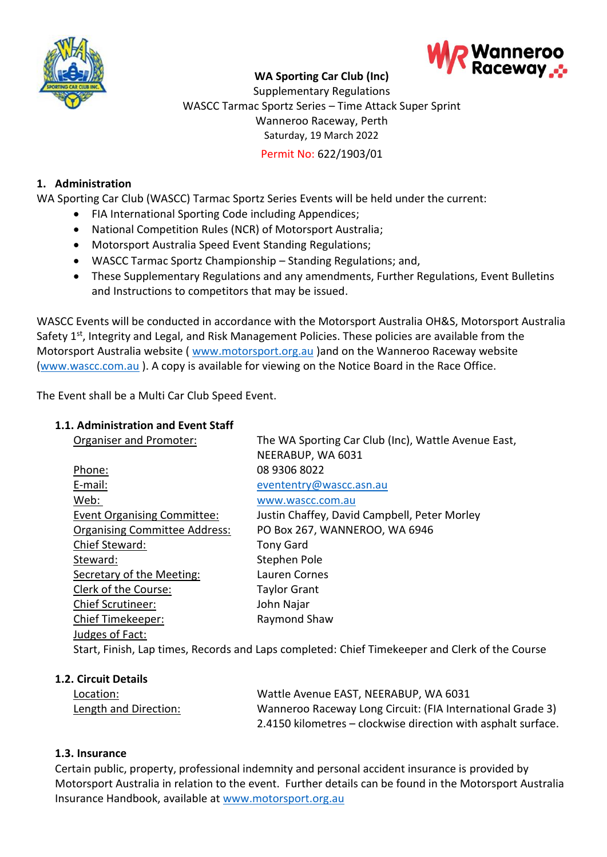

# **WA Sporting Car Club (Inc)**



Supplementary Regulations WASCC Tarmac Sportz Series – Time Attack Super Sprint Wanneroo Raceway, Perth Saturday, 19 March 2022 Permit No: 622/1903/01

# **1. Administration**

WA Sporting Car Club (WASCC) Tarmac Sportz Series Events will be held under the current:

- FIA International Sporting Code including Appendices;
- National Competition Rules (NCR) of Motorsport Australia;
- Motorsport Australia Speed Event Standing Regulations;
- WASCC Tarmac Sportz Championship Standing Regulations; and,
- These Supplementary Regulations and any amendments, Further Regulations, Event Bulletins and Instructions to competitors that may be issued.

WASCC Events will be conducted in accordance with the Motorsport Australia OH&S, Motorsport Australia Safety 1<sup>st</sup>, Integrity and Legal, and Risk Management Policies. These policies are available from the Motorsport Australia website ( [www.motorsport.org.au](about:blank) )and on the Wanneroo Raceway website [\(www.wascc.com.au](about:blank) ). A copy is available for viewing on the Notice Board in the Race Office.

The Event shall be a Multi Car Club Speed Event.

# **1.1. Administration and Event Staff**

| Organiser and Promoter:              | The WA Sporting Car Club (Inc), Wattle Avenue East,<br>NEERABUP, WA 6031 |  |
|--------------------------------------|--------------------------------------------------------------------------|--|
| Phone:                               | 08 9306 8022                                                             |  |
| E-mail:                              | evententry@wascc.asn.au                                                  |  |
| Web:                                 | www.wascc.com.au                                                         |  |
| <b>Event Organising Committee:</b>   | Justin Chaffey, David Campbell, Peter Morley                             |  |
| <b>Organising Committee Address:</b> | PO Box 267, WANNEROO, WA 6946                                            |  |
| Chief Steward:                       | <b>Tony Gard</b>                                                         |  |
| Steward:                             | Stephen Pole                                                             |  |
| Secretary of the Meeting:            | Lauren Cornes                                                            |  |
| Clerk of the Course:                 | <b>Taylor Grant</b>                                                      |  |
| <b>Chief Scrutineer:</b>             | John Najar                                                               |  |
| Chief Timekeeper:                    | Raymond Shaw                                                             |  |
| Judges of Fact:                      |                                                                          |  |
|                                      |                                                                          |  |

Start, Finish, Lap times, Records and Laps completed: Chief Timekeeper and Clerk of the Course

#### **1.2. Circuit Details**

| Location:             | Wattle Avenue EAST, NEERABUP, WA 6031                         |
|-----------------------|---------------------------------------------------------------|
| Length and Direction: | Wanneroo Raceway Long Circuit: (FIA International Grade 3)    |
|                       | 2.4150 kilometres – clockwise direction with asphalt surface. |

#### **1.3. Insurance**

Certain public, property, professional indemnity and personal accident insurance is provided by Motorsport Australia in relation to the event. Further details can be found in the Motorsport Australia Insurance Handbook, available at [www.motorsport.org.au](about:blank)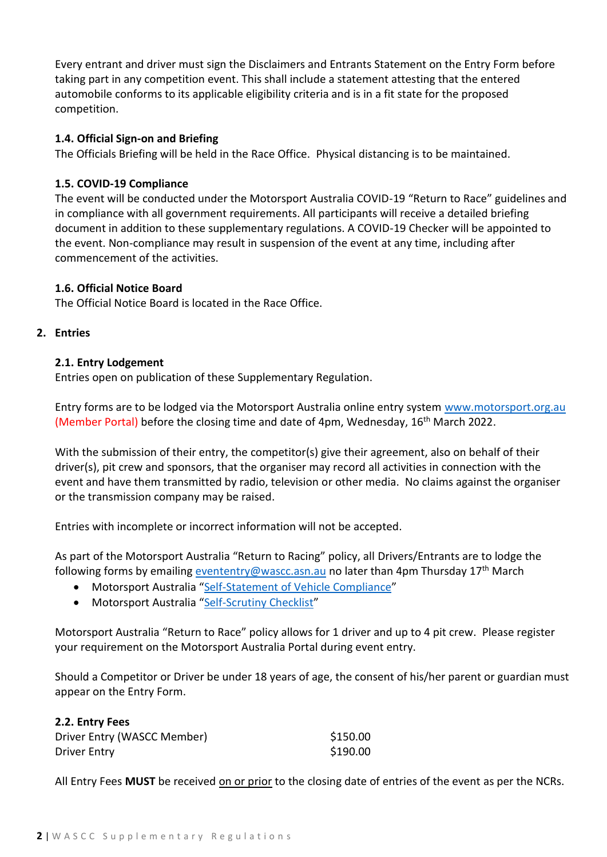Every entrant and driver must sign the Disclaimers and Entrants Statement on the Entry Form before taking part in any competition event. This shall include a statement attesting that the entered automobile conforms to its applicable eligibility criteria and is in a fit state for the proposed competition.

# **1.4. Official Sign-on and Briefing**

The Officials Briefing will be held in the Race Office. Physical distancing is to be maintained.

# **1.5. COVID-19 Compliance**

The event will be conducted under the Motorsport Australia COVID-19 "Return to Race" guidelines and in compliance with all government requirements. All participants will receive a detailed briefing document in addition to these supplementary regulations. A COVID-19 Checker will be appointed to the event. Non-compliance may result in suspension of the event at any time, including after commencement of the activities.

# **1.6. Official Notice Board**

The Official Notice Board is located in the Race Office.

# **2. Entries**

# **2.1. Entry Lodgement**

Entries open on publication of these Supplementary Regulation.

Entry forms are to be lodged via the Motorsport Australia online entry system [www.motorsport.org.au](about:blank) (Member Portal) before the closing time and date of 4pm, Wednesday, 16<sup>th</sup> March 2022.

With the submission of their entry, the competitor(s) give their agreement, also on behalf of their driver(s), pit crew and sponsors, that the organiser may record all activities in connection with the event and have them transmitted by radio, television or other media. No claims against the organiser or the transmission company may be raised.

Entries with incomplete or incorrect information will not be accepted.

As part of the Motorsport Australia "Return to Racing" policy, all Drivers/Entrants are to lodge the following forms by emailing **evententry@wascc.asn.au** no later than 4pm Thursday 17<sup>th</sup> March

- Motorsport Australia "[Self-Statement of Vehicle Compliance](https://motorsport.org.au/docs/default-source/covid19/scrutiny/self_statement-of-vehicle-compliance.pdf?sfvrsn=30153519_6)"
- Motorsport Australia "[Self-Scrutiny Checklist](https://motorsport.org.au/docs/default-source/covid19/scrutiny/self-checklist-speed.pdf?sfvrsn=c2f57c6d_8)"

Motorsport Australia "Return to Race" policy allows for 1 driver and up to 4 pit crew. Please register your requirement on the Motorsport Australia Portal during event entry.

Should a Competitor or Driver be under 18 years of age, the consent of his/her parent or guardian must appear on the Entry Form.

| 2.2. Entry Fees             |          |
|-----------------------------|----------|
| Driver Entry (WASCC Member) | \$150.00 |
| Driver Entry                | \$190.00 |

All Entry Fees MUST be received on or prior to the closing date of entries of the event as per the NCRs.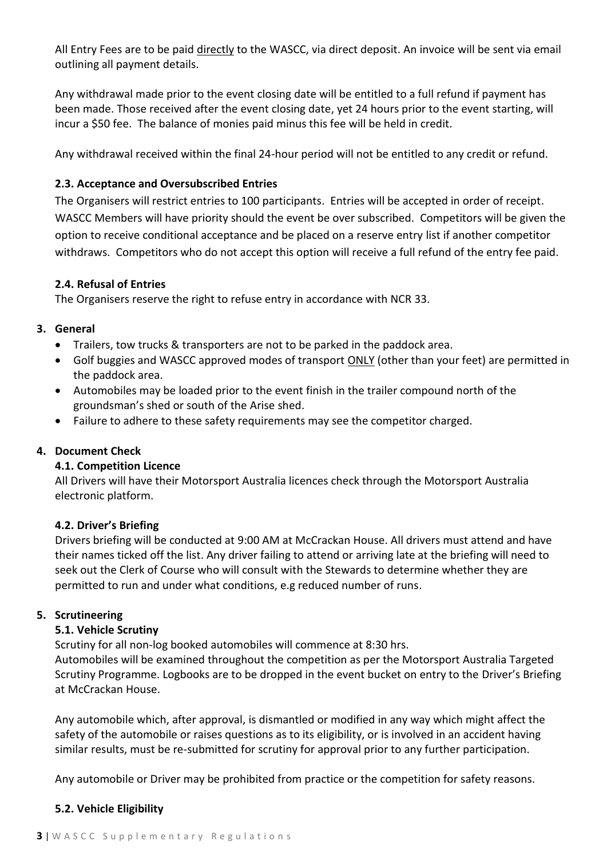All Entry Fees are to be paid directly to the WASCC, via direct deposit. An invoice will be sent via email outlining all payment details.

Any withdrawal made prior to the event closing date will be entitled to a full refund if payment has been made. Those received after the event closing date, yet 24 hours prior to the event starting, will incur a \$50 fee. The balance of monies paid minus this fee will be held in credit.

Any withdrawal received within the final 24-hour period will not be entitled to any credit or refund.

### **2.3. Acceptance and Oversubscribed Entries**

The Organisers will restrict entries to 100 participants. Entries will be accepted in order of receipt. WASCC Members will have priority should the event be over subscribed. Competitors will be given the option to receive conditional acceptance and be placed on a reserve entry list if another competitor withdraws. Competitors who do not accept this option will receive a full refund of the entry fee paid.

### **2.4. Refusal of Entries**

The Organisers reserve the right to refuse entry in accordance with NCR 33.

### **3. General**

- Trailers, tow trucks & transporters are not to be parked in the paddock area.
- Golf buggies and WASCC approved modes of transport ONLY (other than your feet) are permitted in the paddock area.
- Automobiles may be loaded prior to the event finish in the trailer compound north of the groundsman's shed or south of the Arise shed.
- Failure to adhere to these safety requirements may see the competitor charged.

# **4. Document Check**

# **4.1. Competition Licence**

All Drivers will have their Motorsport Australia licences check through the Motorsport Australia electronic platform.

# **4.2. Driver's Briefing**

Drivers briefing will be conducted at 9:00 AM at McCrackan House. All drivers must attend and have their names ticked off the list. Any driver failing to attend or arriving late at the briefing will need to seek out the Clerk of Course who will consult with the Stewards to determine whether they are permitted to run and under what conditions, e.g reduced number of runs.

#### **5. Scrutineering**

# **5.1. Vehicle Scrutiny**

Scrutiny for all non-log booked automobiles will commence at 8:30 hrs.

Automobiles will be examined throughout the competition as per the Motorsport Australia Targeted Scrutiny Programme. Logbooks are to be dropped in the event bucket on entry to the Driver's Briefing at McCrackan House.

Any automobile which, after approval, is dismantled or modified in any way which might affect the safety of the automobile or raises questions as to its eligibility, or is involved in an accident having similar results, must be re-submitted for scrutiny for approval prior to any further participation.

Any automobile or Driver may be prohibited from practice or the competition for safety reasons.

# **5.2. Vehicle Eligibility**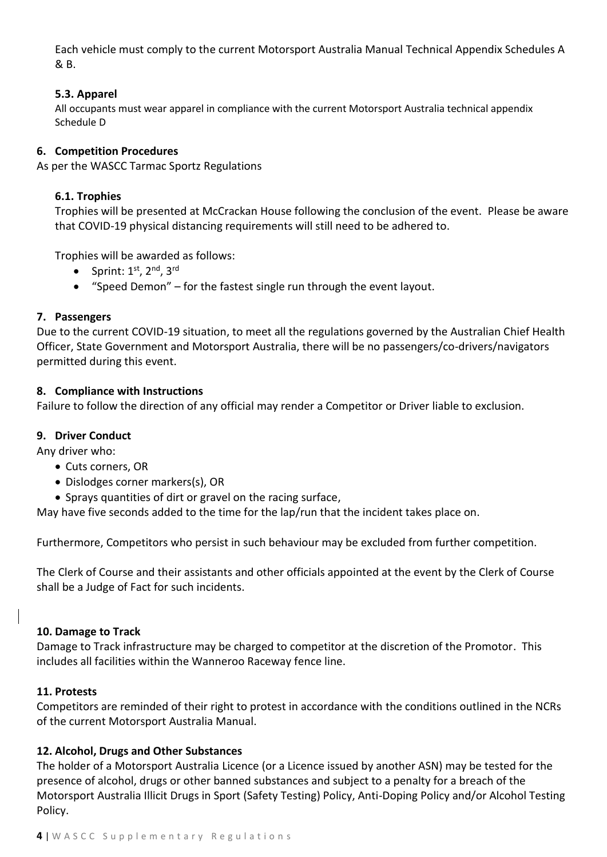Each vehicle must comply to the current Motorsport Australia Manual Technical Appendix Schedules A & B.

### **5.3. Apparel**

All occupants must wear apparel in compliance with the current Motorsport Australia technical appendix Schedule D

#### **6. Competition Procedures**

As per the WASCC Tarmac Sportz Regulations

### **6.1. Trophies**

Trophies will be presented at McCrackan House following the conclusion of the event. Please be aware that COVID-19 physical distancing requirements will still need to be adhered to.

Trophies will be awarded as follows:

- Sprint:  $1<sup>st</sup>$ ,  $2<sup>nd</sup>$ ,  $3<sup>rd</sup>$
- "Speed Demon" for the fastest single run through the event layout.

### **7. Passengers**

Due to the current COVID-19 situation, to meet all the regulations governed by the Australian Chief Health Officer, State Government and Motorsport Australia, there will be no passengers/co-drivers/navigators permitted during this event.

#### **8. Compliance with Instructions**

Failure to follow the direction of any official may render a Competitor or Driver liable to exclusion.

#### **9. Driver Conduct**

Any driver who:

- Cuts corners, OR
- Dislodges corner markers(s), OR
- Sprays quantities of dirt or gravel on the racing surface,

May have five seconds added to the time for the lap/run that the incident takes place on.

Furthermore, Competitors who persist in such behaviour may be excluded from further competition.

The Clerk of Course and their assistants and other officials appointed at the event by the Clerk of Course shall be a Judge of Fact for such incidents.

#### **10. Damage to Track**

Damage to Track infrastructure may be charged to competitor at the discretion of the Promotor. This includes all facilities within the Wanneroo Raceway fence line.

#### **11. Protests**

Competitors are reminded of their right to protest in accordance with the conditions outlined in the NCRs of the current Motorsport Australia Manual.

#### **12. Alcohol, Drugs and Other Substances**

The holder of a Motorsport Australia Licence (or a Licence issued by another ASN) may be tested for the presence of alcohol, drugs or other banned substances and subject to a penalty for a breach of the Motorsport Australia Illicit Drugs in Sport (Safety Testing) Policy, Anti-Doping Policy and/or Alcohol Testing Policy.